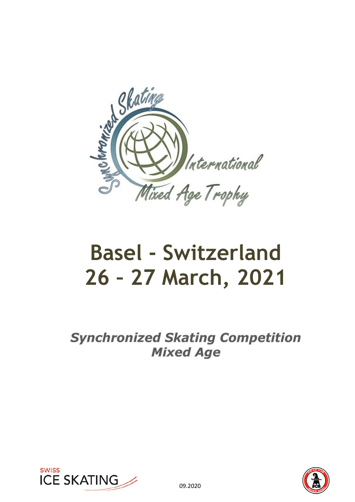

# **Basel - Switzerland 26 – 27 March, 2021**

**Synchronized Skating Competition Mixed Age** 



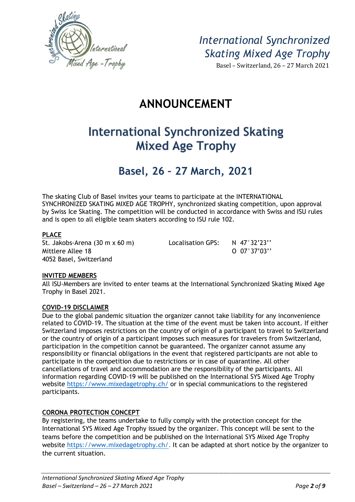

Basel – Switzerland, 26 – 27 March 2021

# **ANNOUNCEMENT**

# **International Synchronized Skating Mixed Age Trophy**

### **Basel, 26 – 27 March, 2021**

The skating Club of Basel invites your teams to participate at the INTERNATIONAL SYNCHRONIZED SKATING MIXED AGE TROPHY, synchronized skating competition, upon approval by Swiss Ice Skating. The competition will be conducted in accordance with Swiss and ISU rules and is open to all eligible team skaters according to ISU rule 102.

#### **PLACE**

4052 Basel, Switzerland

St. Jakobs-Arena (30 m x 60 m) Localisation GPS: N 47°32'23" Mittlere Allee 18 O 07°37'03''

#### **INVITED MEMBERS**

All ISU-Members are invited to enter teams at the International Synchronized Skating Mixed Age Trophy in Basel 2021.

#### **COVID-19 DISCLAIMER**

Due to the global pandemic situation the organizer cannot take liability for any inconvenience related to COVID-19. The situation at the time of the event must be taken into account. If either Switzerland imposes restrictions on the country of origin of a participant to travel to Switzerland or the country of origin of a participant imposes such measures for travelers from Switzerland, participation in the competition cannot be guaranteed. The organizer cannot assume any responsibility or financial obligations in the event that registered participants are not able to participate in the competition due to restrictions or in case of quarantine. All other cancellations of travel and accommodation are the responsibility of the participants. All information regarding COVID-19 will be published on the International SYS Mixed Age Trophy website https://www.mixedagetrophy.ch/ or in special communications to the registered participants.

#### **CORONA PROTECTION CONCEPT**

By registering, the teams undertake to fully comply with the protection concept for the International SYS Mixed Age Trophy issued by the organizer. This concept will be sent to the teams before the competition and be published on the International SYS Mixed Age Trophy website https://www.mixedagetrophy.ch/. It can be adapted at short notice by the organizer to the current situation.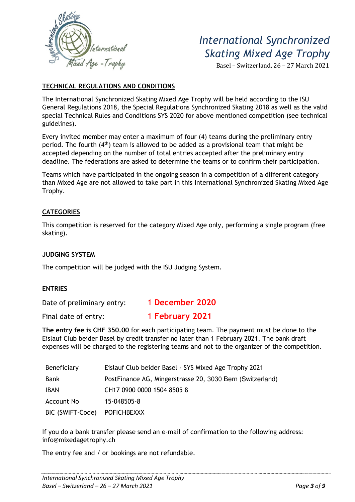

Basel – Switzerland, 26 – 27 March 2021

#### **TECHNICAL REGULATIONS AND CONDITIONS**

The International Synchronized Skating Mixed Age Trophy will be held according to the ISU General Regulations 2018, the Special Regulations Synchronized Skating 2018 as well as the valid special Technical Rules and Conditions SYS 2020 for above mentioned competition (see technical guidelines).

Every invited member may enter a maximum of four (4) teams during the preliminary entry period. The fourth (4<sup>th</sup>) team is allowed to be added as a provisional team that might be accepted depending on the number of total entries accepted after the preliminary entry deadline. The federations are asked to determine the teams or to confirm their participation.

Teams which have participated in the ongoing season in a competition of a different category than Mixed Age are not allowed to take part in this International Synchronized Skating Mixed Age Trophy.

#### **CATEGORIES**

This competition is reserved for the category Mixed Age only, performing a single program (free skating).

#### **JUDGING SYSTEM**

The competition will be judged with the ISU Judging System.

#### **ENTRIES**

Date of preliminary entry: 1 **December 2020** 

Final date of entry: 1 **February 2021**

**The entry fee is CHF 350.00** for each participating team. The payment must be done to the Eislauf Club beider Basel by credit transfer no later than 1 February 2021. The bank draft expenses will be charged to the registering teams and not to the organizer of the competition.

| Beneficiary      | Eislauf Club beider Basel - SYS Mixed Age Trophy 2021     |  |
|------------------|-----------------------------------------------------------|--|
| Bank             | PostFinance AG, Mingerstrasse 20, 3030 Bern (Switzerland) |  |
| <b>IBAN</b>      | CH17 0900 0000 1504 8505 8                                |  |
| Account No       | 15-048505-8                                               |  |
| BIC (SWIFT-Code) | <b>POFICHBEXXX</b>                                        |  |

If you do a bank transfer please send an e-mail of confirmation to the following address: info@mixedagetrophy.ch

The entry fee and / or bookings are not refundable.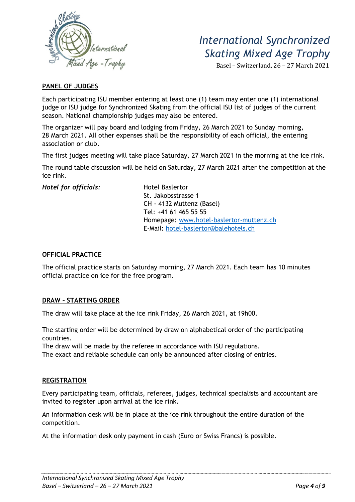

Basel – Switzerland, 26 – 27 March 2021

#### **PANEL OF JUDGES**

Each participating ISU member entering at least one (1) team may enter one (1) international judge or ISU judge for Synchronized Skating from the official ISU list of judges of the current season. National championship judges may also be entered.

The organizer will pay board and lodging from Friday, 26 March 2021 to Sunday morning, 28 March 2021. All other expenses shall be the responsibility of each official, the entering association or club.

The first judges meeting will take place Saturday, 27 March 2021 in the morning at the ice rink.

The round table discussion will be held on Saturday, 27 March 2021 after the competition at the ice rink.

**Hotel for officials:** Hotel Baslertor

 St. Jakobsstrasse 1 CH - 4132 Muttenz (Basel) Tel: +41 61 465 55 55 Homepage: www.hotel-baslertor-muttenz.ch E-Mail: hotel-baslertor@balehotels.ch

#### **OFFICIAL PRACTICE**

The official practice starts on Saturday morning, 27 March 2021. Each team has 10 minutes official practice on ice for the free program.

#### **DRAW – STARTING ORDER**

The draw will take place at the ice rink Friday, 26 March 2021, at 19h00.

The starting order will be determined by draw on alphabetical order of the participating countries.

The draw will be made by the referee in accordance with ISU regulations.

The exact and reliable schedule can only be announced after closing of entries.

#### **REGISTRATION**

Every participating team, officials, referees, judges, technical specialists and accountant are invited to register upon arrival at the ice rink.

An information desk will be in place at the ice rink throughout the entire duration of the competition.

At the information desk only payment in cash (Euro or Swiss Francs) is possible.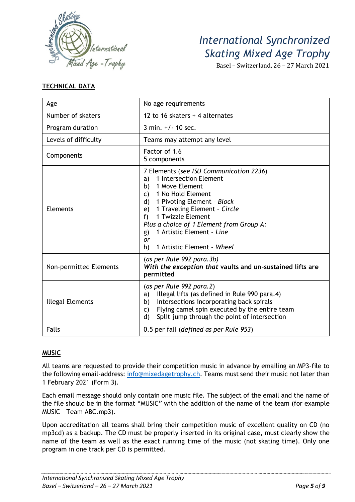

Basel – Switzerland, 26 – 27 March 2021

#### **TECHNICAL DATA**

| Age                     | No age requirements                                                                                                                                                                                                                                                                                                                                                           |  |
|-------------------------|-------------------------------------------------------------------------------------------------------------------------------------------------------------------------------------------------------------------------------------------------------------------------------------------------------------------------------------------------------------------------------|--|
| Number of skaters       | 12 to 16 skaters + 4 alternates                                                                                                                                                                                                                                                                                                                                               |  |
| Program duration        | $3 \text{ min.} +/- 10 \text{ sec.}$                                                                                                                                                                                                                                                                                                                                          |  |
| Levels of difficulty    | Teams may attempt any level                                                                                                                                                                                                                                                                                                                                                   |  |
| Components              | Factor of 1.6<br>5 components                                                                                                                                                                                                                                                                                                                                                 |  |
| <b>Elements</b>         | 7 Elements (see ISU Communication 2236)<br>1 Intersection Element<br>a)<br>1 Move Element<br>b)<br>1 No Hold Element<br>$\mathsf{C}$ )<br>1 Pivoting Element - Block<br>$\mathsf{d}$<br>1 Traveling Element - Circle<br>e)<br>1 Twizzle Element<br>f<br>Plus a choice of 1 Element from Group A:<br>1 Artistic Element - Line<br>g)<br>or<br>1 Artistic Element - Wheel<br>h) |  |
| Non-permitted Elements  | (as per Rule 992 para.3b)<br>With the exception that vaults and un-sustained lifts are<br>permitted                                                                                                                                                                                                                                                                           |  |
| <b>Illegal Elements</b> | (as per Rule 992 para.2)<br>Illegal lifts (as defined in Rule 990 para.4)<br>a)<br>Intersections incorporating back spirals<br>b)<br>Flying camel spin executed by the entire team<br>C)<br>Split jump through the point of intersection<br>d)                                                                                                                                |  |
| <b>Falls</b>            | 0.5 per fall (defined as per Rule 953)                                                                                                                                                                                                                                                                                                                                        |  |

#### **MUSIC**

All teams are requested to provide their competition music in advance by emailing an MP3-file to the following email-address: info@mixedagetrophy.ch. Teams must send their music not later than 1 February 2021 (Form 3).

Each email message should only contain one music file. The subject of the email and the name of the file should be in the format "MUSIC" with the addition of the name of the team (for example MUSIC – Team ABC.mp3).

Upon accreditation all teams shall bring their competition music of excellent quality on CD (no mp3cd) as a backup. The CD must be properly inserted in its original case, must clearly show the name of the team as well as the exact running time of the music (not skating time). Only one program in one track per CD is permitted.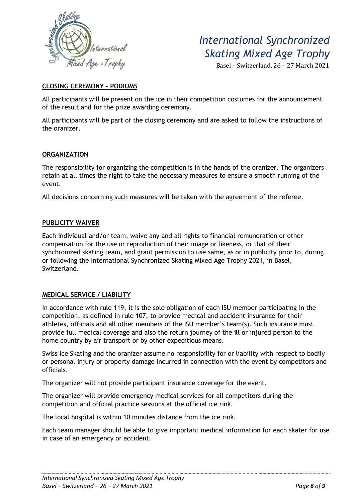

Basel – Switzerland, 26 – 27 March 2021

#### **CLOSING CEREMONY – PODIUMS**

All participants will be present on the ice in their competition costumes for the announcement of the result and for the prize awarding ceremony.

All participants will be part of the closing ceremony and are asked to follow the instructions of the oranizer.

#### **ORGANIZATION**

The responsibility for organizing the competition is in the hands of the oranizer. The organizers retain at all times the right to take the necessary measures to ensure a smooth running of the event.

All decisions concerning such measures will be taken with the agreement of the referee.

#### **PUBLICITY WAIVER**

Each individual and/or team, waive any and all rights to financial remuneration or other compensation for the use or reproduction of their image or likeness, or that of their synchronized skating team, and grant permission to use same, as or in publicity prior to, during or following the International Synchronized Skating Mixed Age Trophy 2021, in Basel, Switzerland.

#### **MEDICAL SERVICE / LIABILITY**

In accordance with rule 119, it is the sole obligation of each ISU member participating in the competition, as defined in rule 107, to provide medical and accident insurance for their athletes, officials and all other members of the ISU member's team(s). Such insurance must provide full medical coverage and also the return journey of the ill or injured person to the home country by air transport or by other expeditious means.

Swiss Ice Skating and the oranizer assume no responsibility for or liability with respect to bodily or personal injury or property damage incurred in connection with the event by competitors and officials.

The organizer will not provide participant insurance coverage for the event.

The organizer will provide emergency medical services for all competitors during the competition and official practice sessions at the official ice rink.

The local hospital is within 10 minutes distance from the ice rink.

Each team manager should be able to give important medical information for each skater for use in case of an emergency or accident.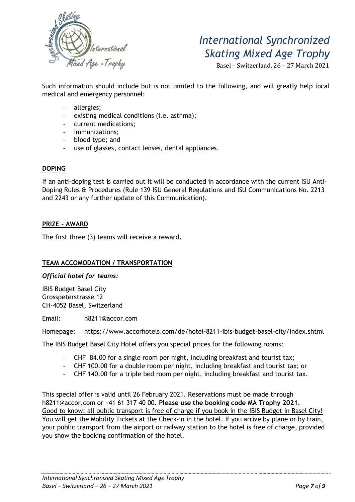

Basel – Switzerland, 26 – 27 March 2021

Such information should include but is not limited to the following, and will greatly help local medical and emergency personnel:

- allergies;
- existing medical conditions (i.e. asthma);
- current medications;
- immunizations;
- blood type; and
- use of glasses, contact lenses, dental appliances.

#### **DOPING**

If an anti-doping test is carried out it will be conducted in accordance with the current ISU Anti-Doping Rules & Procedures (Rule 139 ISU General Regulations and ISU Communications No. 2213 and 2243 or any further update of this Communication).

#### **PRIZE - AWARD**

The first three (3) teams will receive a reward.

#### **TEAM ACCOMODATION / TRANSPORTATION**

*Official hotel for teams:* 

IBIS Budget Basel City Grosspeterstrasse 12 CH-4052 Basel, Switzerland

Email: h8211@accor.com

Homepage: https://www.accorhotels.com/de/hotel-8211-ibis-budget-basel-city/index.shtml

The IBIS Budget Basel City Hotel offers you special prices for the following rooms:

- CHF 84.00 for a single room per night, including breakfast and tourist tax;
- CHF 100.00 for a double room per night, including breakfast and tourist tax; or
- CHF 140.00 for a triple bed room per night, including breakfast and tourist tax.

This special offer is valid until 26 February 2021. Reservations must be made through h8211@accor.com or +41 61 317 40 00. **Please use the booking code MA Trophy 2021**. Good to know: all public transport is free of charge if you book in the IBIS Budget in Basel City! You will get the Mobility Tickets at the Check-in in the hotel. If you arrive by plane or by train, your public transport from the airport or railway station to the hotel is free of charge, provided you show the booking confirmation of the hotel.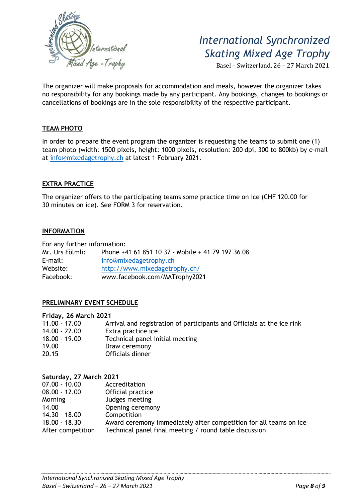

Basel – Switzerland, 26 – 27 March 2021

The organizer will make proposals for accommodation and meals, however the organizer takes no responsibility for any bookings made by any participant. Any bookings, changes to bookings or cancellations of bookings are in the sole responsibility of the respective participant.

#### **TEAM PHOTO**

In order to prepare the event program the organizer is requesting the teams to submit one (1) team photo (width: 1500 pixels, height: 1000 pixels, resolution: 200 dpi, 300 to 800kb) by e-mail at info@mixedagetrophy.ch at latest 1 February 2021.

#### **EXTRA PRACTICE**

The organizer offers to the participating teams some practice time on ice (CHF 120.00 for 30 minutes on ice). See FORM 3 for reservation.

#### **INFORMATION**

For any further information:

| Mr. Urs Fölmli: | Phone +41 61 851 10 37 - Mobile + 41 79 197 36 08 |  |  |
|-----------------|---------------------------------------------------|--|--|
| $E$ -mail:      | info@mixedagetrophy.ch                            |  |  |
| Website:        | http://www.mixedagetrophy.ch/                     |  |  |
| Facebook:       | www.facebook.com/MATrophy2021                     |  |  |

#### **PRELIMINARY EVENT SCHEDULE**

#### **Friday, 26 March 2021**

| $11.00 - 17.00$ | Arrival and registration of participants and Officials at the ice rink |
|-----------------|------------------------------------------------------------------------|
| 14.00 - 22.00   | Extra practice ice                                                     |
| $18.00 - 19.00$ | Technical panel initial meeting                                        |
| 19.00           | Draw ceremony                                                          |
| 20.15           | Officials dinner                                                       |
|                 |                                                                        |

| Saturday, 27 March 2021 |                                                                   |
|-------------------------|-------------------------------------------------------------------|
| $07.00 - 10.00$         | Accreditation                                                     |
| $08.00 - 12.00$         | Official practice                                                 |
| Morning                 | Judges meeting                                                    |
| 14.00                   | Opening ceremony                                                  |
| $14.30 - 18.00$         | Competition                                                       |
| $18.00 - 18.30$         | Award ceremony immediately after competition for all teams on ice |
| After competition       | Technical panel final meeting / round table discussion            |